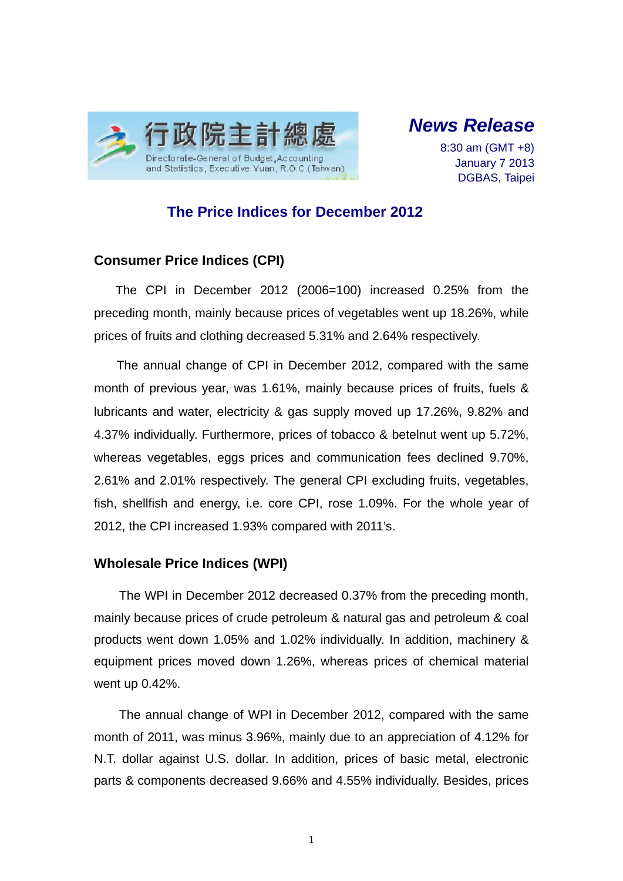

*News Release* 

8:30 am (GMT +8) January 7 2013 DGBAS, Taipei

## **The Price Indices for December 2012**

### **Consumer Price Indices (CPI)**

The CPI in December 2012 (2006=100) increased 0.25% from the preceding month, mainly because prices of vegetables went up 18.26%, while prices of fruits and clothing decreased 5.31% and 2.64% respectively.

The annual change of CPI in December 2012, compared with the same month of previous year, was 1.61%, mainly because prices of fruits, fuels & lubricants and water, electricity & gas supply moved up 17.26%, 9.82% and 4.37% individually. Furthermore, prices of tobacco & betelnut went up 5.72%, whereas vegetables, eggs prices and communication fees declined 9.70%, 2.61% and 2.01% respectively. The general CPI excluding fruits, vegetables, fish, shellfish and energy, i.e. core CPI, rose 1.09%. For the whole year of 2012, the CPI increased 1.93% compared with 2011's.

#### **Wholesale Price Indices (WPI)**

The WPI in December 2012 decreased 0.37% from the preceding month, mainly because prices of crude petroleum & natural gas and petroleum & coal products went down 1.05% and 1.02% individually. In addition, machinery & equipment prices moved down 1.26%, whereas prices of chemical material went up 0.42%.

The annual change of WPI in December 2012, compared with the same month of 2011, was minus 3.96%, mainly due to an appreciation of 4.12% for N.T. dollar against U.S. dollar. In addition, prices of basic metal, electronic parts & components decreased 9.66% and 4.55% individually. Besides, prices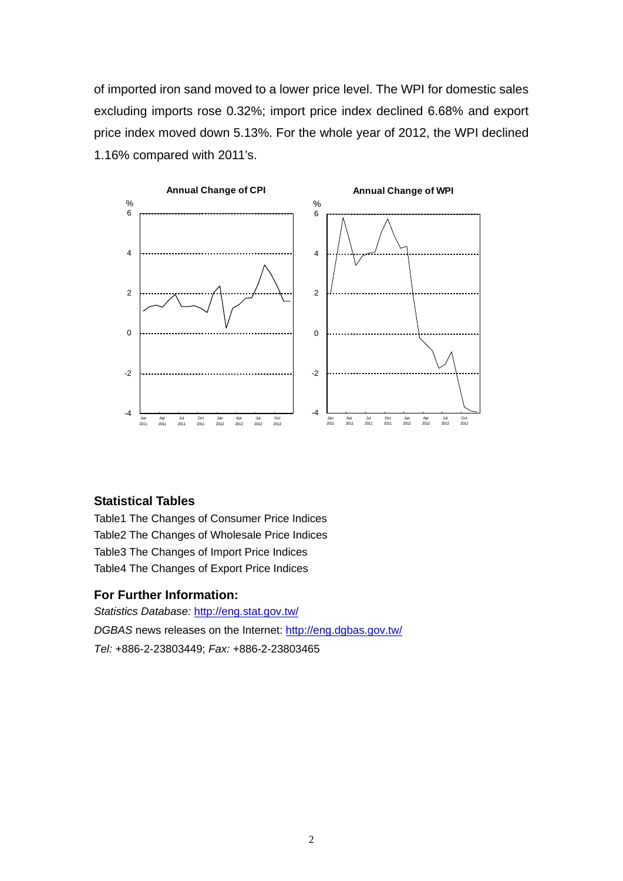of imported iron sand moved to a lower price level. The WPI for domestic sales excluding imports rose 0.32%; import price index declined 6.68% and export price index moved down 5.13%. For the whole year of 2012, the WPI declined 1.16% compared with 2011's.



#### **Statistical Tables**

Table1 The Changes of Consumer Price Indices Table2 The Changes of Wholesale Price Indices Table3 The Changes of Import Price Indices Table4 The Changes of Export Price Indices

### **For Further Information:**

*Statistics Database:* http://eng.stat.gov.tw/ *DGBAS* news releases on the Internet: http://eng.dgbas.gov.tw/ *Tel:* +886-2-23803449; *Fax:* +886-2-23803465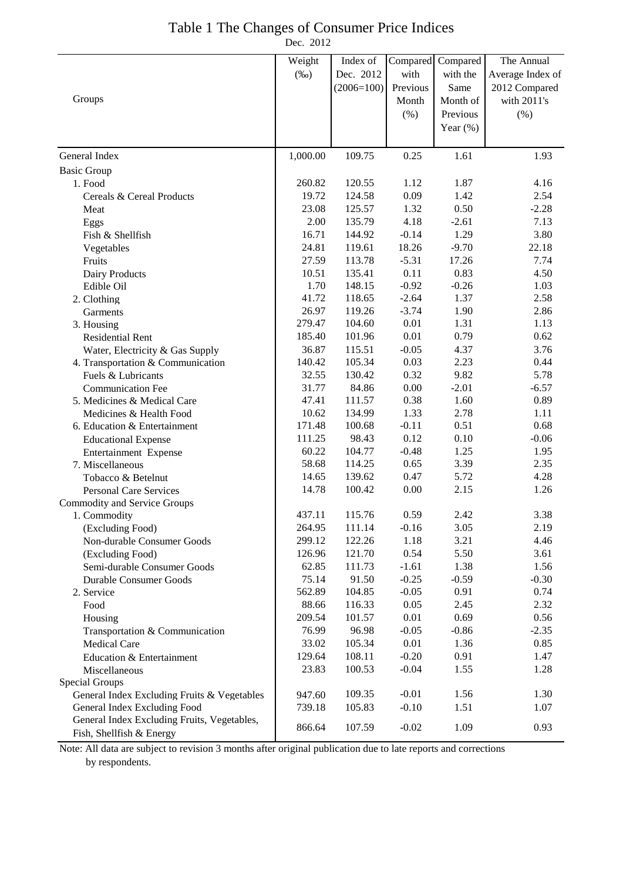## Table 1 The Changes of Consumer Price Indices

Dec. 2012

|                                             | Weight   | Index of     | Compared | Compared    | The Annual       |
|---------------------------------------------|----------|--------------|----------|-------------|------------------|
|                                             | $(\%0)$  | Dec. 2012    | with     | with the    | Average Index of |
| Groups                                      |          | $(2006=100)$ | Previous | Same        | 2012 Compared    |
|                                             |          |              | Month    | Month of    | with 2011's      |
|                                             |          |              | (%)      | Previous    | (%)              |
|                                             |          |              |          | Year $(\%)$ |                  |
| General Index                               | 1,000.00 | 109.75       | 0.25     | 1.61        | 1.93             |
| <b>Basic Group</b>                          |          |              |          |             |                  |
| 1. Food                                     | 260.82   | 120.55       | 1.12     | 1.87        | 4.16             |
| Cereals & Cereal Products                   | 19.72    | 124.58       | 0.09     | 1.42        | 2.54             |
| Meat                                        | 23.08    | 125.57       | 1.32     | 0.50        | $-2.28$          |
| Eggs                                        | 2.00     | 135.79       | 4.18     | $-2.61$     | 7.13             |
| Fish & Shellfish                            | 16.71    | 144.92       | $-0.14$  | 1.29        | 3.80             |
| Vegetables                                  | 24.81    | 119.61       | 18.26    | $-9.70$     | 22.18            |
| Fruits                                      | 27.59    | 113.78       | $-5.31$  | 17.26       | 7.74             |
| Dairy Products                              | 10.51    | 135.41       | 0.11     | 0.83        | 4.50             |
| Edible Oil                                  | 1.70     | 148.15       | $-0.92$  | $-0.26$     | 1.03             |
| 2. Clothing                                 | 41.72    | 118.65       | $-2.64$  | 1.37        | 2.58             |
| Garments                                    | 26.97    | 119.26       | $-3.74$  | 1.90        | 2.86             |
| 3. Housing                                  | 279.47   | 104.60       | $0.01\,$ | 1.31        | 1.13             |
| <b>Residential Rent</b>                     | 185.40   | 101.96       | 0.01     | 0.79        | 0.62             |
| Water, Electricity & Gas Supply             | 36.87    | 115.51       | $-0.05$  | 4.37        | 3.76             |
| 4. Transportation & Communication           | 140.42   | 105.34       | 0.03     | 2.23        | 0.44             |
| Fuels & Lubricants                          | 32.55    | 130.42       | 0.32     | 9.82        | 5.78             |
| <b>Communication Fee</b>                    | 31.77    | 84.86        | 0.00     | $-2.01$     | $-6.57$          |
| 5. Medicines & Medical Care                 | 47.41    | 111.57       | 0.38     | 1.60        | 0.89             |
| Medicines & Health Food                     | 10.62    | 134.99       | 1.33     | 2.78        | 1.11             |
| 6. Education & Entertainment                | 171.48   | 100.68       | $-0.11$  | 0.51        | 0.68             |
| <b>Educational Expense</b>                  | 111.25   | 98.43        | 0.12     | 0.10        | $-0.06$          |
| Entertainment Expense                       | 60.22    | 104.77       | $-0.48$  | 1.25        | 1.95             |
| 7. Miscellaneous                            | 58.68    | 114.25       | 0.65     | 3.39        | 2.35             |
| Tobacco & Betelnut                          | 14.65    | 139.62       | 0.47     | 5.72        | 4.28             |
| <b>Personal Care Services</b>               | 14.78    | 100.42       | 0.00     | 2.15        | 1.26             |
| Commodity and Service Groups                |          |              |          |             |                  |
| 1. Commodity                                | 437.11   | 115.76       | 0.59     | 2.42        | 3.38             |
| (Excluding Food)                            | 264.95   | 111.14       | $-0.16$  | 3.05        | 2.19             |
| Non-durable Consumer Goods                  | 299.12   | 122.26       | 1.18     | 3.21        | 4.46             |
| (Excluding Food)                            | 126.96   | 121.70       | 0.54     | 5.50        | 3.61             |
| Semi-durable Consumer Goods                 | 62.85    | 111.73       | $-1.61$  | 1.38        | 1.56             |
| <b>Durable Consumer Goods</b>               | 75.14    | 91.50        | $-0.25$  | $-0.59$     | $-0.30$          |
| 2. Service                                  | 562.89   | 104.85       | $-0.05$  | 0.91        | 0.74             |
| Food                                        | 88.66    | 116.33       | 0.05     | 2.45        | 2.32             |
| Housing                                     | 209.54   | 101.57       | 0.01     | 0.69        | 0.56             |
| Transportation & Communication              | 76.99    | 96.98        | $-0.05$  | $-0.86$     | $-2.35$          |
| <b>Medical Care</b>                         | 33.02    | 105.34       | 0.01     | 1.36        | 0.85             |
| Education & Entertainment                   | 129.64   | 108.11       | $-0.20$  | 0.91        | 1.47             |
| Miscellaneous                               | 23.83    | 100.53       | $-0.04$  | 1.55        | 1.28             |
| Special Groups                              |          |              |          |             |                  |
| General Index Excluding Fruits & Vegetables | 947.60   | 109.35       | $-0.01$  | 1.56        | 1.30             |
| General Index Excluding Food                | 739.18   | 105.83       | $-0.10$  | 1.51        | 1.07             |
| General Index Excluding Fruits, Vegetables, | 866.64   | 107.59       | $-0.02$  | 1.09        | 0.93             |
| Fish, Shellfish & Energy                    |          |              |          |             |                  |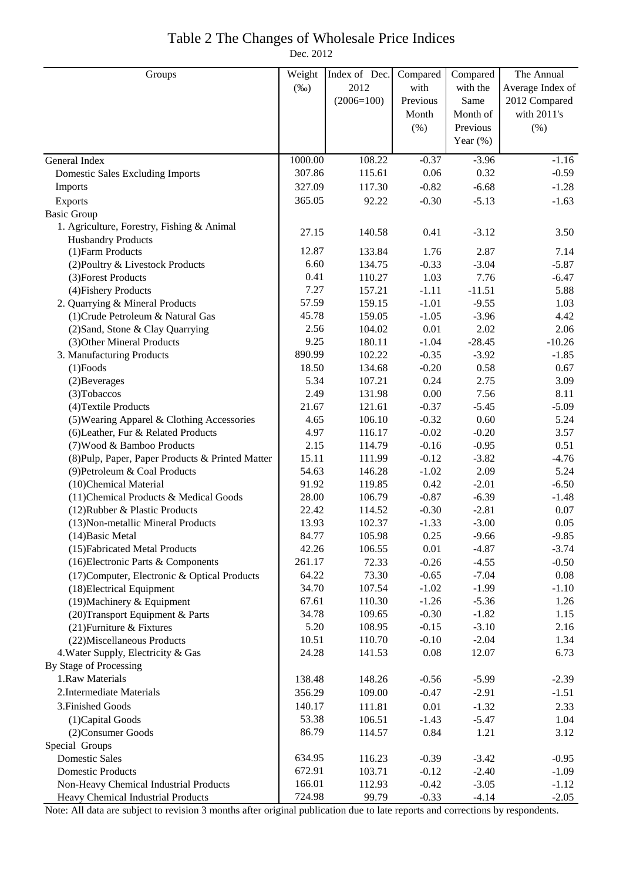# Table 2 The Changes of Wholesale Price Indices

Dec. 2012

| Groups                                           | Weight  | Index of Dec. | Compared | Compared    | The Annual       |
|--------------------------------------------------|---------|---------------|----------|-------------|------------------|
|                                                  | $(\%0)$ | 2012          | with     | with the    | Average Index of |
|                                                  |         | $(2006=100)$  | Previous | Same        | 2012 Compared    |
|                                                  |         |               | Month    | Month of    | with 2011's      |
|                                                  |         |               | (% )     | Previous    | $(\% )$          |
|                                                  |         |               |          | Year $(\%)$ |                  |
| General Index                                    | 1000.00 | 108.22        | $-0.37$  | $-3.96$     | $-1.16$          |
| <b>Domestic Sales Excluding Imports</b>          | 307.86  | 115.61        | 0.06     | 0.32        | $-0.59$          |
| Imports                                          | 327.09  | 117.30        | $-0.82$  | $-6.68$     | $-1.28$          |
| Exports                                          | 365.05  | 92.22         | $-0.30$  | $-5.13$     | $-1.63$          |
| <b>Basic Group</b>                               |         |               |          |             |                  |
| 1. Agriculture, Forestry, Fishing & Animal       |         |               |          |             |                  |
| <b>Husbandry Products</b>                        | 27.15   | 140.58        | 0.41     | $-3.12$     | 3.50             |
| (1) Farm Products                                | 12.87   | 133.84        | 1.76     | 2.87        | 7.14             |
| (2) Poultry & Livestock Products                 | 6.60    | 134.75        | $-0.33$  | $-3.04$     | $-5.87$          |
| (3) Forest Products                              | 0.41    | 110.27        | 1.03     | 7.76        | $-6.47$          |
| (4) Fishery Products                             | 7.27    | 157.21        | $-1.11$  | $-11.51$    | 5.88             |
| 2. Quarrying & Mineral Products                  | 57.59   | 159.15        | $-1.01$  | $-9.55$     | 1.03             |
| (1) Crude Petroleum & Natural Gas                | 45.78   | 159.05        | $-1.05$  | $-3.96$     | 4.42             |
| (2) Sand, Stone & Clay Quarrying                 | 2.56    | 104.02        | 0.01     | 2.02        | 2.06             |
| (3) Other Mineral Products                       | 9.25    | 180.11        | $-1.04$  | $-28.45$    | $-10.26$         |
| 3. Manufacturing Products                        | 890.99  | 102.22        | $-0.35$  | $-3.92$     | $-1.85$          |
| $(1)$ Foods                                      | 18.50   | 134.68        | $-0.20$  | 0.58        | 0.67             |
| (2) Beverages                                    | 5.34    | 107.21        | 0.24     | 2.75        | 3.09             |
| (3) Tobaccos                                     | 2.49    | 131.98        | 0.00     | 7.56        | 8.11             |
| (4) Textile Products                             | 21.67   | 121.61        | $-0.37$  | $-5.45$     | $-5.09$          |
| (5) Wearing Apparel & Clothing Accessories       | 4.65    | 106.10        | $-0.32$  | 0.60        | 5.24             |
| (6) Leather, Fur & Related Products              | 4.97    | 116.17        | $-0.02$  | $-0.20$     | 3.57             |
| (7) Wood & Bamboo Products                       | 2.15    | 114.79        | $-0.16$  | $-0.95$     | 0.51             |
| (8) Pulp, Paper, Paper Products & Printed Matter | 15.11   | 111.99        | $-0.12$  | $-3.82$     | $-4.76$          |
| (9) Petroleum & Coal Products                    | 54.63   | 146.28        | $-1.02$  | 2.09        | 5.24             |
| (10)Chemical Material                            | 91.92   | 119.85        | 0.42     | $-2.01$     | $-6.50$          |
| (11) Chemical Products & Medical Goods           | 28.00   | 106.79        | $-0.87$  | $-6.39$     | $-1.48$          |
| (12) Rubber & Plastic Products                   | 22.42   | 114.52        | $-0.30$  | $-2.81$     | 0.07             |
| (13) Non-metallic Mineral Products               | 13.93   | 102.37        | $-1.33$  | $-3.00$     | 0.05             |
| $(14)$ Basic Metal                               | 84.77   | 105.98        | 0.25     | $-9.66$     | $-9.85$          |
| (15) Fabricated Metal Products                   | 42.26   | 106.55        | 0.01     | $-4.87$     | $-3.74$          |
| (16) Electronic Parts & Components               | 261.17  | 72.33         | $-0.26$  | $-4.55$     | $-0.50$          |
| (17) Computer, Electronic & Optical Products     | 64.22   | 73.30         | $-0.65$  | $-7.04$     | 0.08             |
| (18) Electrical Equipment                        | 34.70   | 107.54        | $-1.02$  | $-1.99$     | $-1.10$          |
| (19) Machinery & Equipment                       | 67.61   | 110.30        | $-1.26$  | $-5.36$     | 1.26             |
| (20) Transport Equipment & Parts                 | 34.78   | 109.65        | $-0.30$  | $-1.82$     | 1.15             |
| $(21)$ Furniture & Fixtures                      | 5.20    | 108.95        | $-0.15$  | $-3.10$     | 2.16             |
| (22) Miscellaneous Products                      | 10.51   | 110.70        | $-0.10$  | $-2.04$     | 1.34             |
| 4. Water Supply, Electricity & Gas               | 24.28   | 141.53        | 0.08     | 12.07       | 6.73             |
| By Stage of Processing                           |         |               |          |             |                  |
| 1.Raw Materials                                  | 138.48  | 148.26        | $-0.56$  | $-5.99$     | $-2.39$          |
| 2. Intermediate Materials                        | 356.29  | 109.00        | $-0.47$  | $-2.91$     | $-1.51$          |
| 3. Finished Goods                                | 140.17  | 111.81        | 0.01     | $-1.32$     | 2.33             |
| (1) Capital Goods                                | 53.38   | 106.51        | $-1.43$  | $-5.47$     | 1.04             |
| (2) Consumer Goods                               | 86.79   | 114.57        | 0.84     | 1.21        | 3.12             |
| Special Groups                                   |         |               |          |             |                  |
| <b>Domestic Sales</b>                            | 634.95  | 116.23        | $-0.39$  | $-3.42$     | $-0.95$          |
| <b>Domestic Products</b>                         | 672.91  | 103.71        | $-0.12$  | $-2.40$     | $-1.09$          |
| Non-Heavy Chemical Industrial Products           | 166.01  | 112.93        | $-0.42$  | $-3.05$     | $-1.12$          |
| Heavy Chemical Industrial Products               | 724.98  | 99.79         | $-0.33$  | $-4.14$     | $-2.05$          |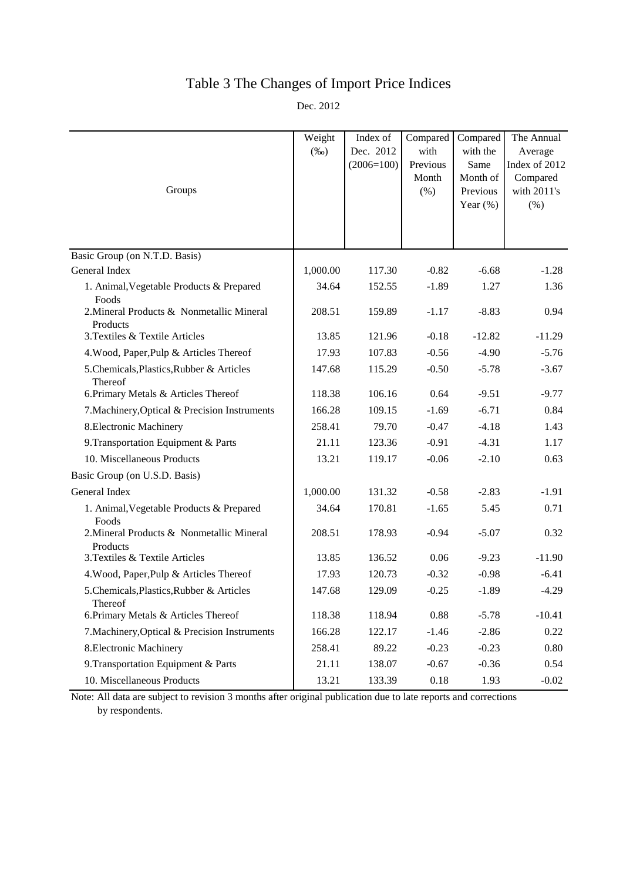# Table 3 The Changes of Import Price Indices

Dec. 2012

| Groups                                                         | Weight<br>$(\%0)$ | Index of<br>Dec. 2012<br>$(2006=100)$ | Compared<br>with<br>Previous<br>Month<br>(% ) | Compared<br>with the<br>Same<br>Month of<br>Previous<br>Year $(\%)$ | The Annual<br>Average<br>Index of 2012<br>Compared<br>with 2011's<br>(%) |
|----------------------------------------------------------------|-------------------|---------------------------------------|-----------------------------------------------|---------------------------------------------------------------------|--------------------------------------------------------------------------|
|                                                                |                   |                                       |                                               |                                                                     |                                                                          |
| Basic Group (on N.T.D. Basis)                                  |                   |                                       |                                               |                                                                     |                                                                          |
| General Index                                                  | 1,000.00          | 117.30                                | $-0.82$                                       | $-6.68$                                                             | $-1.28$                                                                  |
| 1. Animal, Vegetable Products & Prepared                       | 34.64             | 152.55                                | $-1.89$                                       | 1.27                                                                | 1.36                                                                     |
| Foods<br>2. Mineral Products & Nonmetallic Mineral<br>Products | 208.51            | 159.89                                | $-1.17$                                       | $-8.83$                                                             | 0.94                                                                     |
| 3. Textiles & Textile Articles                                 | 13.85             | 121.96                                | $-0.18$                                       | $-12.82$                                                            | $-11.29$                                                                 |
| 4. Wood, Paper, Pulp & Articles Thereof                        | 17.93             | 107.83                                | $-0.56$                                       | $-4.90$                                                             | $-5.76$                                                                  |
| 5.Chemicals, Plastics, Rubber & Articles<br>Thereof            | 147.68            | 115.29                                | $-0.50$                                       | $-5.78$                                                             | $-3.67$                                                                  |
| 6. Primary Metals & Articles Thereof                           | 118.38            | 106.16                                | 0.64                                          | $-9.51$                                                             | $-9.77$                                                                  |
| 7. Machinery, Optical & Precision Instruments                  | 166.28            | 109.15                                | $-1.69$                                       | $-6.71$                                                             | 0.84                                                                     |
| 8. Electronic Machinery                                        | 258.41            | 79.70                                 | $-0.47$                                       | $-4.18$                                                             | 1.43                                                                     |
| 9. Transportation Equipment & Parts                            | 21.11             | 123.36                                | $-0.91$                                       | $-4.31$                                                             | 1.17                                                                     |
| 10. Miscellaneous Products                                     | 13.21             | 119.17                                | $-0.06$                                       | $-2.10$                                                             | 0.63                                                                     |
| Basic Group (on U.S.D. Basis)                                  |                   |                                       |                                               |                                                                     |                                                                          |
| General Index                                                  | 1,000.00          | 131.32                                | $-0.58$                                       | $-2.83$                                                             | $-1.91$                                                                  |
| 1. Animal, Vegetable Products & Prepared<br>Foods              | 34.64             | 170.81                                | $-1.65$                                       | 5.45                                                                | 0.71                                                                     |
| 2. Mineral Products & Nonmetallic Mineral<br>Products          | 208.51            | 178.93                                | $-0.94$                                       | $-5.07$                                                             | 0.32                                                                     |
| 3. Textiles & Textile Articles                                 | 13.85             | 136.52                                | 0.06                                          | $-9.23$                                                             | $-11.90$                                                                 |
| 4. Wood, Paper, Pulp & Articles Thereof                        | 17.93             | 120.73                                | $-0.32$                                       | $-0.98$                                                             | $-6.41$                                                                  |
| 5. Chemicals, Plastics, Rubber & Articles<br>Thereof           | 147.68            | 129.09                                | $-0.25$                                       | $-1.89$                                                             | $-4.29$                                                                  |
| 6. Primary Metals & Articles Thereof                           | 118.38            | 118.94                                | 0.88                                          | $-5.78$                                                             | $-10.41$                                                                 |
| 7. Machinery, Optical & Precision Instruments                  | 166.28            | 122.17                                | $-1.46$                                       | $-2.86$                                                             | 0.22                                                                     |
| 8. Electronic Machinery                                        | 258.41            | 89.22                                 | $-0.23$                                       | $-0.23$                                                             | 0.80                                                                     |
| 9. Transportation Equipment & Parts                            | 21.11             | 138.07                                | $-0.67$                                       | $-0.36$                                                             | 0.54                                                                     |
| 10. Miscellaneous Products                                     | 13.21             | 133.39                                | 0.18                                          | 1.93                                                                | $-0.02$                                                                  |